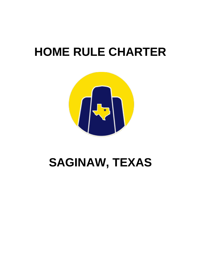# **HOME RULE CHARTER**



## **SAGINAW, TEXAS**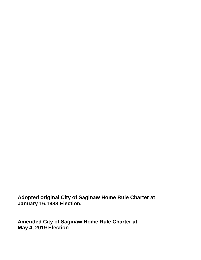**Adopted original City of Saginaw Home Rule Charter at January 16,1988 Election.** 

**Amended City of Saginaw Home Rule Charter at May 4, 2019 Election**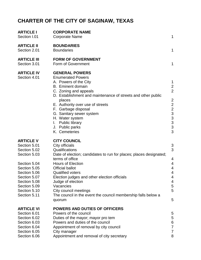## **CHARTER OF THE CITY OF SAGINAW, TEXAS**

| <b>ARTICLE I</b><br>Section I.01                                                                                                                                                                 | <b>CORPORATE NAME</b><br><b>Corporate Name</b>                                                                                                                                                                                                                                                                                                                                                                          | 1                                                                                                                    |
|--------------------------------------------------------------------------------------------------------------------------------------------------------------------------------------------------|-------------------------------------------------------------------------------------------------------------------------------------------------------------------------------------------------------------------------------------------------------------------------------------------------------------------------------------------------------------------------------------------------------------------------|----------------------------------------------------------------------------------------------------------------------|
| <b>ARTICLE II</b><br>Section 2.01                                                                                                                                                                | <b>BOUNDARIES</b><br><b>Boundaries</b>                                                                                                                                                                                                                                                                                                                                                                                  | 1                                                                                                                    |
| <b>ARTICLE III</b><br>Section 3.01                                                                                                                                                               | <b>FORM OF GOVERNMENT</b><br>Form of Government                                                                                                                                                                                                                                                                                                                                                                         | 1                                                                                                                    |
| <b>ARTICLE IV</b><br>Section 4.01                                                                                                                                                                | <b>GENERAL POWERS</b><br><b>Enumerated Powers</b><br>A. Powers of the City<br><b>B.</b> Eminent domain<br>C. Zoning and appeals<br>D. Establishment and maintenance of streets and other public<br>places<br>E. Authority over use of streets<br>F. Garbage disposal<br>G. Sanitary sewer system<br>H. Water system<br><b>Public library</b><br>L.<br>J. Public parks<br>K. Cemeteries                                  | 1<br>$\overline{c}$<br>$\overline{2}$<br>$\overline{c}$<br>2<br>2<br>3<br>3<br>3<br>3<br>3                           |
| <b>ARTICLE V</b><br>Section 5.01<br>Section 5.02<br>Section 5.03<br>Section 5.04<br>Section 5.05<br>Section 5.06<br>Section 5.07<br>Section 5.08<br>Section 5.09<br>Section 5.10<br>Section 5.11 | <b>CITY COUNCIL</b><br>City officials<br>Qualifications<br>Date of election; candidates to run for places; places designated;<br>terms of office<br><b>Hours of Election</b><br><b>Official ballot</b><br><b>Qualified voters</b><br>Election judges and other election officials<br>Judge of election<br>Vacancies<br>City council meetings<br>The council in the event the council membership falls below a<br>quorum | 3<br>3<br>$\overline{4}$<br>$\overline{4}$<br>$\overline{4}$<br>$\overline{4}$<br>$\overline{4}$<br>4<br>5<br>5<br>5 |
| <b>ARTICLE VI</b><br>Section 6.01<br>Section 6.02<br>Section 6.03<br>Section 6.04<br>Section 6.05<br>Section 6.06                                                                                | <b>POWERS AND DUTIES OF OFFICERS</b><br>Powers of the council<br>Duties of the mayor; mayor pro tem<br>Powers and duties of the council<br>Appointment of removal by city council<br>City manager<br>Appointment and removal of city secretary                                                                                                                                                                          | 5<br>5<br>6<br>$\overline{7}$<br>7<br>8                                                                              |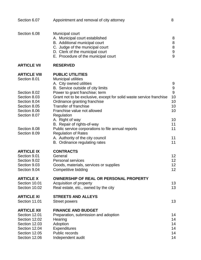| Section 6.07                                                                                 | Appointment and removal of city attorney                                                                                                                                                                           | 8                                 |
|----------------------------------------------------------------------------------------------|--------------------------------------------------------------------------------------------------------------------------------------------------------------------------------------------------------------------|-----------------------------------|
| Section 6.08                                                                                 | Municipal court<br>A. Municipal court established<br>B. Additional municipal court<br>C. Judge of the municipal court<br>D. Clerk of the municipal court<br>E. Procedure of the municipal court                    | 8<br>$\bf 8$<br>$\bf 8$<br>9<br>9 |
| <b>ARTICLE VII</b>                                                                           | <b>RESERVED</b>                                                                                                                                                                                                    |                                   |
| <b>ARTICLE VIII</b><br>Section 8.01                                                          | <b>PUBLIC UTILITIES</b><br><b>Municipal utilities</b><br>A. City owned utilities<br>B. Service outside of city limits                                                                                              | 9<br>$\boldsymbol{9}$             |
| Section 8.02<br>Section 8.03<br>Section 8.04<br>Section 8.05<br>Section 8.06<br>Section 8.07 | Power to grant franchise; term<br>Grant not to be exclusive, except for solid waste service franchise<br>Ordinance granting franchise<br><b>Transfer of franchise</b><br>Franchise value not allowed<br>Regulation | $9$<br>10<br>10<br>10<br>10       |
| Section 8.08<br>Section 8.09                                                                 | A. Right of way<br>B. Repair of rights-of-way<br>Public service corporations to file annual reports<br><b>Regulation of Rates</b><br>A. Authority of the city council<br>B. Ordinance regulating rates             | 10<br>11<br>11<br>11<br>11        |
| <b>ARTICLE IX</b><br>Section 9.01<br>Section 9.02<br>Section 9.03<br>Section 9.04            | <b>CONTRACTS</b><br>General<br><b>Personal services</b><br>Goods, materials, services or supplies<br>Competitive bidding                                                                                           | 12<br>12<br>12<br>12              |
| <b>ARTICLE X</b><br>Section 10.01<br>Section 10.02                                           | <b>OWNERSHIP OF REAL OR PERSONAL PROPERTY</b><br>Acquisition of property<br>Real estate, etc., owned by the city                                                                                                   | 13<br>13                          |
| <b>ARTICLE XI</b><br>Section 11.01                                                           | <b>STREETS AND ALLEYS</b><br><b>Street powers</b>                                                                                                                                                                  | 13                                |
| <b>ARTICLE XII</b><br>Section 12.01<br>Section 12.02<br>Section 12.03<br>Section 12.04       | <b>FINANCE AND BUDGET</b><br>Preparation, submission and adoption<br>Hearing<br>Adoption<br><b>Expenditures</b>                                                                                                    | 14<br>14<br>14<br>14              |
| Section 12.05<br>Section 12.06                                                               | Public records<br>Independent audit                                                                                                                                                                                | 14<br>14                          |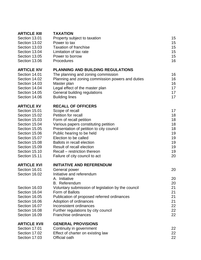| <b>ARTICLE XIII</b> | <b>TAXATION</b>                                    |    |
|---------------------|----------------------------------------------------|----|
| Section 13.01       | Property subject to taxation                       | 15 |
| Section 13.02       | Power to tax                                       | 15 |
| Section 13.03       | <b>Taxation of franchise</b>                       | 15 |
| Section 13.04       | Limitation of tax rate                             | 15 |
| Section 13.05       | Power to borrow                                    | 15 |
| Section 13.06       | Procedures                                         | 16 |
| <b>ARTICLE XIV</b>  | <b>PLANNING AND BUILDING REGULATIONS</b>           |    |
| Section 14.01       | The planning and zoning commission                 | 16 |
| Section 14.02       | Planning and zoning commission powers and duties   | 16 |
| Section 14.03       | Master plan                                        | 16 |
| Section 14.04       | Legal effect of the master plan                    | 17 |
| Section 14.05       | General building regulations                       | 17 |
| Section 14.06       | <b>Building lines</b>                              | 17 |
| <b>ARTICLE XV</b>   | <b>RECALL OF OFFICERS</b>                          |    |
| Section 15.01       | Scope of recall                                    | 17 |
| Section 15.02       | Petition for recall                                | 18 |
| Section 15.03       | Form of recall petition                            | 18 |
| Section 15.04       | Various papers constituting petition               | 18 |
| Section 15.05       | Presentation of petition to city council           | 18 |
| Section 15.06       | Public hearing to be held                          | 19 |
| Section 15.07       | Election to be called                              | 19 |
| Section 15.08       | <b>Ballots in recall election</b>                  | 19 |
| Section 15.09       | Result of recall election                          | 19 |
| Section 15.10       | Recall – restriction thereon                       | 19 |
| Section 15.11       | Failure of city council to act                     | 20 |
| <b>ARTICLE XVI</b>  | <b>INITIATIVE AND REFERENDUM</b>                   |    |
| Section 16.01       | General power                                      | 20 |
| Section 16.02       | Initiative and referendum                          |    |
|                     | A. Initiative                                      | 20 |
|                     | B. Referendum                                      | 20 |
| Section 16.03       | Voluntary submission of legislation by the council | 21 |
| Section 16.04       | Form of Ballots                                    | 21 |
| Section 16.05       | Publication of proposed referred ordinances        | 21 |
| Section 16.06       | Adoption of ordinances                             | 21 |
| Section 16.07       | Inconsistent ordinances                            | 22 |
| Section 16.08       | Further regulations by city council                | 22 |
| Section 16.09       | Franchise ordinances                               | 22 |
| <b>ARTICLE XVII</b> | <b>GENERAL PROVISIONS</b>                          |    |
| Section 17.01       | Continuity in government                           | 22 |
| Section 17.02       | Effect of charter on existing law                  | 22 |
| Section 17.03       | Official oath                                      | 22 |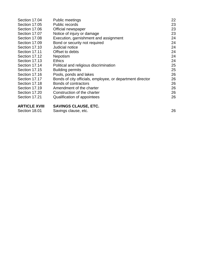| <b>ARTICLE XVIII</b> | <b>SAVINGS CLAUSE, ETC.</b>                               |    |
|----------------------|-----------------------------------------------------------|----|
| Section 17.21        | Qualification of appointees                               | 26 |
| Section 17.20        | Construction of the charter                               | 26 |
| Section 17.19        | Amendment of the charter                                  | 26 |
| Section 17.18        | Bonds of contractors                                      | 26 |
| Section 17.17        | Bonds of city officials, employee, or department director | 26 |
| Section 17.16        | Pools, ponds and lakes                                    | 26 |
| Section 17.15        | <b>Building permits</b>                                   | 25 |
| Section 17.14        | Political and religious discrimination                    | 25 |
| Section 17.13        | <b>Ethics</b>                                             | 24 |
| Section 17.12        | Nepotism                                                  | 24 |
| Section 17.11        | Offset to debts                                           | 24 |
| Section 17.10        | Judicial notice                                           | 24 |
| Section 17.09        | Bond or security not required                             | 24 |
| Section 17.08        | Execution, garnishment and assignment                     | 24 |
| Section 17.07        | Notice of injury or damage                                | 23 |
| Section 17.06        | Official newspaper                                        | 23 |
| Section 17.05        | Public records                                            | 23 |
| Section 17.04        | Public meetings                                           | 22 |

| лі і і УБЕ Ліні | <u>UAVINUU ULAUUL, LTU.</u> |  |
|-----------------|-----------------------------|--|
| Section 18.01   | Savings clause, etc.        |  |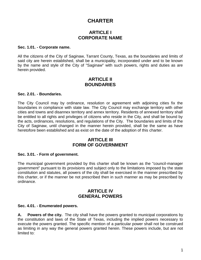## **CHARTER**

## **ARTICLE I CORPORATE NAME**

#### **Sec. 1.01. - Corporate name.**

All the citizens of the City of Saginaw, Tarrant County, Texas, as the boundaries and limits of said city are herein established, shall be a municipality, incorporated under and to be known by the name and style of the City of "Saginaw" with such powers, rights and duties as are herein provided.

### **ARTICLE II BOUNDARIES**

#### **Sec. 2.01. - Boundaries.**

The City Council may by ordinance, resolution or agreement with adjoining cities fix the boundaries in compliance with state law. The City Council may exchange territory with other cities and towns and disannex territory and annex territory. Residents of annexed territory shall be entitled to all rights and privileges of citizens who reside in the City, and shall be bound by the acts, ordinances, resolutions, and regulations of the City. The boundaries and limits of the City of Saginaw, until changed in the manner herein provided, shall be the same as have heretofore been established and as exist on the date of the adoption of this charter.

## **ARTICLE III FORM OF GOVERNMENT**

#### **Sec. 3.01. - Form of government.**

The municipal government provided by this charter shall be known as the "council-manager government" pursuant to its provisions and subject only to the limitations imposed by the state constitution and statutes, all powers of the city shall be exercised in the manner prescribed by this charter, or if the manner be not prescribed then in such manner as may be prescribed by ordinance.

## **ARTICLE IV GENERAL POWERS**

#### **Sec. 4.01. - Enumerated powers.**

**A. Powers of the city.** The city shall have the powers granted to municipal corporations by the constitution and laws of the State of Texas, including the implied powers necessary to execute the powers granted. The specific mention of a particular power shall not be construed as limiting in any way the general powers granted herein. These powers include, but are not limited to: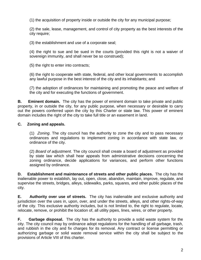(1) the acquisition of property inside or outside the city for any municipal purpose;

(2) the sale, lease, management, and control of city property as the best interests of the city require;

(3) the establishment and use of a corporate seal;

(4) the right to sue and be sued in the courts (provided this right is not a waiver of sovereign immunity, and shall never be so construed);

(5) the right to enter into contracts;

(6) the right to cooperate with state, federal, and other local governments to accomplish any lawful purpose in the best interest of the city and its inhabitants; and

(7) the adoption of ordinances for maintaining and promoting the peace and welfare of the city and for executing the functions of government.

**B. Eminent domain.** The city has the power of eminent domain to take private and public property, in or outside the city, for any public purpose, when necessary or desirable to carry out the powers conferred upon the city by this Charter or state law. This power of eminent domain includes the right of the city to take full title or an easement in land.

#### **C. Zoning and appeals.**

(1) *Zoning*. The city council has the authority to zone the city and to pass necessary ordinances and regulations to implement zoning in accordance with state law, or ordinance of the city.

(2) *Board of adjustment*. The city council shall create a board of adjustment as provided by state law which shall hear appeals from administrative decisions concerning the zoning ordinance, decide applications for variances, and perform other functions assigned by ordinance.

**D. Establishment and maintenance of streets and other public places.** The city has the inalienable power to establish, lay out, open, close, abandon, maintain, improve, regulate, and supervise the streets, bridges, alleys, sidewalks, parks, squares, and other public places of the city.

**E. Authority over use of streets.** The city has inalienable and exclusive authority and jurisdiction over the uses in, upon, over, and under the streets, alleys, and other rights-of-way of the city. This exclusive authority includes, but is not limited to, the right to regulate, locate, relocate, remove, or prohibit the location of, all utility pipes, lines, wires, or other property.

**F. Garbage disposal.** The city has the authority to provide a solid waste system for the city. The city council may by ordinance adopt regulations for the handling of all garbage, trash, and rubbish in the city and fix charges for its removal. Any contract or license permitting or authorizing garbage or solid waste removal service within the city shall be subject to the provisions of Article VIII of this charter.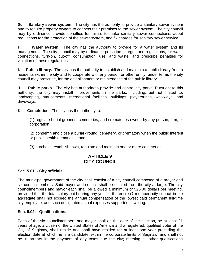**G. Sanitary sewer system.** The city has the authority to provide a sanitary sewer system and to require property owners to connect their premises to the sewer system. The city council may by ordinance provide penalties for failure to make sanitary sewer connections, adopt regulations for the protection of the sewer system, and fix charges for sanitary sewer service.

**H. Water system.** The city has the authority to provide for a water system and its management. The city council may by ordinance prescribe charges and regulations, for water connections, turn-on, cut-off, consumption, use, and waste, and prescribe penalties for violation of these regulations.

**I. Public library.** The city has the authority to establish and maintain a public library free to residents within the city and to cooperate with any person or other entity, under terms the city council may prescribe, for the establishment or maintenance of the public library.

**J.** Public parks. The city has authority to provide and control city parks. Pursuant to this authority, the city may install improvements in the parks, including, but not limited to, landscaping, amusements, recreational facilities, buildings, playgrounds, walkways, and driveways.

**K. Cemeteries.** The city has the authority to:

(1) regulate burial grounds, cemeteries, and crematories owned by any person, firm, or corporation;

(2) condemn and close a burial ground, cemetery, or crematory when the public interest or public health demands it; and

(3) purchase, establish, own, regulate and maintain one or more cemeteries.

## **ARTICLE V CITY COUNCIL**

#### **Sec. 5.01. - City officials.**

The municipal government of the city shall consist of a city council composed of a mayor and six councilmembers. Said mayor and council shall be elected from the city at large. The city councilmembers and mayor each shall be allowed a minimum of \$25.00 dollars per meeting, provided that the total salary paid during any year to the entire (7 member) city council in the aggregate shall not exceed the annual compensation of the lowest paid permanent full-time city employee; and such designated actual expenses supported in writing.

#### **Sec. 5.02. - Qualifications.**

Each of the six councilmembers and mayor shall on the date of the election, be at least 21 years of age, a citizen of the United States of America and a registered, qualified voter of the City of Saginaw, shall reside and shall have resided for at least one year preceding the election date at which he is a candidate, within the corporate limits of Saginaw; and shall not be in arrears in the payment of any taxes due the city; meeting all other qualifications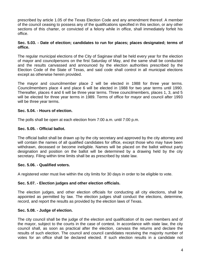prescribed by article 1.05 of the Texas Election Code and any amendment thereof. A member of the council ceasing to possess any of the qualifications specified in this section, or any other sections of this charter, or convicted of a felony while in office, shall immediately forfeit his office.

#### **Sec. 5.03. - Date of election; candidates to run for places; places designated; terms of office.**

The regular municipal elections of the City of Saginaw shall be held every year for the election of mayor and councilpersons on the first Saturday of May, and the same shall be conducted and the results canvassed and announced by the election authorities prescribed by the Election Code of the State of Texas, and said code shall control in all municipal elections except as otherwise herein provided.

The mayor and councilmember place 2 will be elected in 1988 for three year terms. Councilmembers place 4 and place 6 will be elected in 1988 for two year terms until 1990. Thereafter, places 4 and 6 will be three year terms. Three councilmembers, places 1, 3, and 5 will be elected for three year terms in 1989. Terms of office for mayor and council after 1993 will be three year terms.

#### **Sec. 5.04. - Hours of election.**

The polls shall be open at each election from 7:00 a.m. until 7:00 p.m.

#### **Sec. 5.05. - Official ballot.**

The official ballot shall be drawn up by the city secretary and approved by the city attorney and will contain the names of all qualified candidates for office, except those who may have been withdrawn, deceased or become ineligible. Names will be placed on the ballot without party designation and position on the ballot will be determined by a drawing held by the city secretary. Filing within time limits shall be as prescribed by state law.

#### **Sec. 5.06. - Qualified voters.**

A registered voter must live within the city limits for 30 days in order to be eligible to vote.

#### **Sec. 5.07. - Election judges and other election officials.**

The election judges, and other election officials for conducting all city elections, shall be appointed as permitted by law. The election judges shall conduct the elections, determine, record, and report the results as provided by the election laws of Texas.

#### **Sec. 5.08. - Judge of election.**

The city council shall be the judge of the election and qualification of its own members and of the mayor, subject to the courts in the case of contest. In accordance with state law, the city council shall, as soon as practical after the election, canvass the returns and declare the results of such election. The council and council candidates receiving the majority number of votes for an office shall be declared elected. If such election results in a candidate not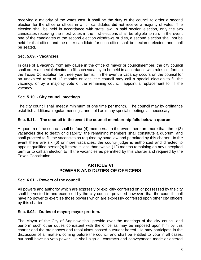receiving a majority of the votes cast, it shall be the duty of the council to order a second election for the office or offices in which candidates did not receive a majority of votes. The election shall be held in accordance with state law. In said section election, only the two candidates receiving the most votes in the first elections shall be eligible to run. In the event one of the candidates of the second election withdraws or dies, a second election shall not be held for that office, and the other candidate for such office shall be declared elected, and shall be seated.

#### **Sec. 5.09. - Vacancies.**

In case of a vacancy from any cause in the office of mayor or councilmember, the city council shall order a special election to fill such vacancy to be held in accordance with rules set forth in the Texas Constitution for three year terms. In the event a vacancy occurs on the council for an unexpired term of 12 months or less, the council may call a special election to fill the vacancy, or by a majority vote of the remaining council, appoint a replacement to fill the vacancy.

#### **Sec. 5.10. - City council meetings.**

The city council shall meet a minimum of one time per month. The council may by ordinance establish additional regular meetings, and hold as many special meetings as necessary.

#### **Sec. 5.11. – The council in the event the council membership falls below a quorum.**

A quorum of the council shall be four (4) members. In the event there are more than three (3) vacancies due to death or disability, the remaining members shall constitute a quorum, and shall proceed to fill the vacancies as required by state law and permitted by this charter. In the event there are six (6) or more vacancies, the county judge is authorized and directed to appoint qualified person(s) if there is less than twelve (12) months remaining on any unexpired term or to call an election to fill the vacancies as permitted by this charter and required by the Texas Constitution.

## **ARTICLE VI POWERS AND DUTIES OF OFFICERS**

#### **Sec. 6.01. - Powers of the council.**

All powers and authority which are expressly or explicitly conferred on or possessed by the city shall be vested in and exercised by the city council, provided however, that the council shall have no power to exercise those powers which are expressly conferred upon other city officers by this charter.

#### **Sec. 6.02. - Duties of mayor; mayor pro-tem.**

The Mayor of the City of Saginaw shall preside over the meetings of the city council and perform such other duties consistent with the office as may be imposed upon him by this charter and the ordinances and resolutions passed pursuant hereof. He may participate in the discussion of all matters coming before the council and shall be entitled to vote in all cases, but shall have no veto power. He shall sign all contracts and conveyances made or entered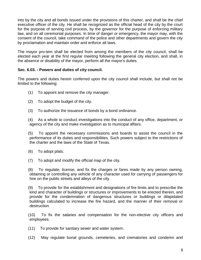into by the city and all bonds issued under the provisions of this charter, and shall be the chief executive officer of the city. He shall be recognized as the official head of the city by the court for the purpose of serving civil process, by the governor for the purpose of enforcing military law, and on all ceremonial purposes. In time of danger or emergency, the mayor may, with the consent of the council, take command of the police and other departments and govern the city by proclamation and maintain order and enforce all laws.

The mayor pro-tem shall be elected from among the members of the city council, shall be elected each year at the first regular meeting following the general city election, and shall, in the absence or disability of the mayor, perform all the mayor's duties.

#### **Sec. 6.03. - Powers and duties of city council.**

The powers and duties herein conferred upon the city council shall include, but shall not be limited to the following:

- (1) To appoint and remove the city manager.
- (2) To adopt the budget of the city.
- (3) To authorize the issuance of bonds by a bond ordinance.
- (4) As a whole to conduct investigations into the conduct of any office, department, or agency of the city and make investigation as to municipal affairs.

(5) To appoint the necessary commissions and boards to assist the council in the performance of its duties and responsibilities. Such powers subject to the restrictions of the charter and the laws of the State of Texas.

- (6) To adopt plats.
- (7) To adopt and modify the official map of the city.

(8) To regulate, license, and fix the charges or fares made by any person owning, obtaining or controlling any vehicle of any character used for carrying of passengers for hire on the public streets and alleys of the city.

(9) To provide for the establishment and designations of fire limits and to prescribe the kind and character of buildings or structures or improvements to be erected therein, and provide for the condemnation of dangerous structures or buildings or dilapidated buildings calculated to increase the fire hazard, and the manner of their removal or destruction.

(10) To fix the salaries and compensation for the non-elective city officers and employees.

- (11) To provide for sanitary sewer and water system.
- (12) May regulate burial grounds, cemeteries, and crematories and condemn and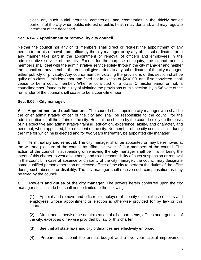close any such burial grounds, cemeteries, and crematories in the thickly settled portions of the city when public interest or public health may demand, and may regulate interment of the deceased.

#### **Sec. 6.04. - Appointment or removal by city council.**

Neither the council nor any of its members shall direct or request the appointment of any person to, or his removal from, office by the city manager or by any of his subordinates, or in any manner take part in the appointment or removal of officers and employees in the administrative service of the city. Except for the purpose of inquiry, the council and its members shall deal with the administrative service solely through the city manager and neither the council nor any member thereof shall give orders to any subordinates of the city manager, either publicly or privately. Any councilmember violating the provisions of this section shall be guilty of a class C misdemeanor and fined not in excess of \$200.00, and if so convicted, shall cease to be a councilmember. Whether convicted of a class C misdemeanor or not, a councilmember, found to be guilty of violating the provisions of this section, by a 5/6 vote of the remainder of the council shall cease to be a councilmember.

#### **Sec. 6.05. - City manager.**

**A. Appointment and qualifications***.* The council shall appoint a city manager who shall be the chief administrative officer of the city and shall be responsible to the council for the administration of all the affairs of the city. He shall be chosen by the council solely on the basis of his executive and administrative training, education, experience, ability, and character, and need not, when appointed, be a resident of the city. No member of the city council shall, during the time for which he is elected and for two years thereafter, be appointed city manager.

**B. Term, salary and removal.** The city manager shall be appointed or may be removed at the will and pleasure of the council by affirmative vote of four members of the council. The action of the council in suspending or removing the city manager shall be final; it being the intent of this charter to vest all authority and fix all responsibility of such suspension or removal in the council. In case of absence or disability of the city manager, the council may designate some qualified person other than an elected officer of the city to perform the duties of the office during such absence or disability. The city manager shall receive such compensation as may be fixed by the council.

**C. Powers and duties of the city manager.** The powers herein conferred upon the city manager shall include but shall not be limited to the following:

(1) Appoint and remove and officer or employee of the city except those officers and employees whose appointment or election is otherwise provided for by law or this charter.

(2) Direct and supervise the administration of all departments, offices and agencies of the city, except as otherwise provided by law or this charter.

- (3) See that all state laws and city ordinances are effectively enforced.
- (4) Prepare and submit the annual budget and a five year capital improvement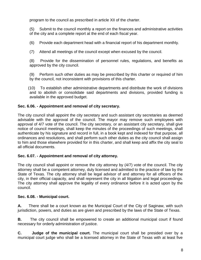program to the council as prescribed in article XII of the charter.

(5) Submit to the council monthly a report on the finances and administrative activities of the city and a complete report at the end of each fiscal year.

(6) Provide each department head with a financial report of his department monthly.

(7) Attend all meetings of the council except when excused by the council.

(8) Provide for the dissemination of personnel rules, regulations, and benefits as approved by the city council.

(9) Perform such other duties as may be prescribed by this charter or required of him by the council, not inconsistent with provisions of this charter.

(10) To establish other administrative departments and distribute the work of divisions and to abolish or consolidate said departments and divisions, provided funding is available in the approved budget.

#### **Sec. 6.06. - Appointment and removal of city secretary.**

The city council shall appoint the city secretary and such assistant city secretaries as deemed advisable with the approval of the council. The mayor may remove such employees with approval of 4/7 vote of the council. The city secretary, or an assistant city secretary, shall give notice of council meetings, shall keep the minutes of the proceedings of such meetings, shall authenticate by his signature and record in full, in a book kept and indexed for that purpose, all ordinances and resolutions, and shall perform such other duties as the city council shall assign to him and those elsewhere provided for in this charter, and shall keep and affix the city seal to all official documents.

#### **Sec. 6.07. - Appointment and removal of city attorney.**

The city council shall appoint or remove the city attorney by (4/7) vote of the council. The city attorney shall be a competent attorney, duly licensed and admitted to the practice of law by the State of Texas. The city attorney shall be legal advisor of and attorney for all officers of the city, in their official capacity, and shall represent the city in all litigation and legal proceedings. The city attorney shall approve the legality of every ordinance before it is acted upon by the council.

#### **Sec. 6.08. - Municipal court.**

**A.** There shall be a court known as the Municipal Court of the City of Saginaw, with such jurisdiction, powers, and duties as are given and prescribed by the laws of the State of Texas.

**B.** The city council shall be empowered to create an additional municipal court if found necessary for orderly administration of justice.

**C. Judge of the municipal court.** The municipal court shall be presided over by a municipal court judge who shall be a licensed attorney in the State of Texas with at least five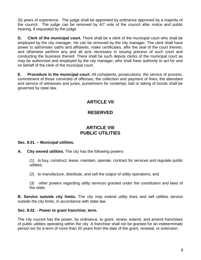(5) years of experience. The judge shall be appointed by ordinance approved by a majority of the council. The judge can be removed by 4/7 vote of the council after notice and public hearing, if requested by the judge.

**D. Clerk of the municipal court.** There shall be a clerk of the municipal court who shall be employed by the city manager. He can be removed by the city manager. The clerk shall have power to administer oaths and affidavits, make certificates, affix the seal of the court thereto, and otherwise perform any and all acts necessary in issuing process of such court and conducting the business thereof. There shall be such deputy clerks of the municipal court as may be authorized and employed by the city manager, who shall have authority to act for and on behalf of the clerk of the municipal court.

**E. Procedure in the municipal court.** All complaints, prosecutions, the service of process, commitment of those convicted of offenses, the collection and payment of fines, the attendant and service of witnesses and juries, punishment for contempt, bail or taking of bonds shall be governed by state law.

## **ARTICLE VII**

## **RESERVED**

## **ARTICLE VIII PUBLIC UTILITIES**

#### **Sec. 8.01. – Municipal utilities.**

**A. City owned utilities.** The city has the following powers:

(1) to buy, construct, lease, maintain, operate, contract for services and regulate public utilities;

(2) to manufacture, distribute, and sell the output of utility operations; and

(3) other powers regarding utility services granted under the constitution and laws of the state.

**B. Service outside city limits.** The city may extend utility lines and sell utilities service outside the city limits, in accordance with state law.

#### **Sec. 8.02. - Power to grant franchise; term.**

The city council has the power, by ordinance, to grant, renew, extend, and amend franchises of public utilities operating within the city. A franchise shall not be granted for an indeterminate period nor for a term of more than 20 years from the date of the grant, renewal, or extension.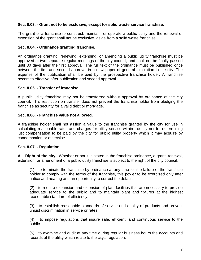#### **Sec. 8.03. - Grant not to be exclusive, except for solid waste service franchise.**

The grant of a franchise to construct, maintain, or operate a public utility and the renewal or extension of the grant shall not be exclusive, aside from a solid waste franchise.

#### **Sec. 8.04. - Ordinance granting franchise.**

An ordinance granting, renewing, extending, or amending a public utility franchise must be approved at two separate regular meetings of the city council, and shall not be finally passed until 30 days after the first approval. The full text of the ordinance must be published once between the first and second approval in a newspaper of general circulation in the city. The expense of the publication shall be paid by the prospective franchise holder. A franchise becomes effective after publication and second approval.

#### **Sec. 8.05. - Transfer of franchise.**

A public utility franchise may not be transferred without approval by ordinance of the city council. This restriction on transfer does not prevent the franchise holder from pledging the franchise as security for a valid debt or mortgage.

#### **Sec. 8.06. - Franchise value not allowed.**

A franchise holder shall not assign a value to the franchise granted by the city for use in calculating reasonable rates and charges for utility service within the city nor for determining just compensation to be paid by the city for public utility property which it may acquire by condemnation or otherwise.

#### **Sec. 8.07. - Regulation.**

**A. Right of the city.** Whether or not it is stated in the franchise ordinance, a grant, renewal, extension, or amendment of a public utility franchise is subject to the right of the city council:

(1) to terminate the franchise by ordinance at any time for the failure of the franchise holder to comply with the terms of the franchise, this power to be exercised only after notice and hearing and an opportunity to correct the default.

(2) to require expansion and extension of plant facilities that are necessary to provide adequate service to the public and to maintain plant and fixtures at the highest reasonable standard of efficiency.

(3) to establish reasonable standards of service and quality of products and prevent unjust discrimination in service or rates.

(4) to impose regulations that insure safe, efficient, and continuous service to the public.

(5) to examine and audit at any time during regular business hours the accounts and records of the utility which relate to the city's regulation.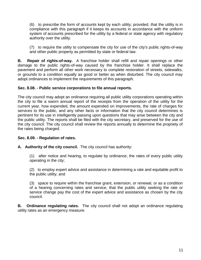(6) to prescribe the form of accounts kept by each utility; provided, that the utility is in compliance with this paragraph if it keeps its accounts in accordance with the uniform system of accounts prescribed for the utility by a federal or state agency with regulatory authority over the utility.

(7) to require the utility to compensate the city for use of the city's public rights-of-way and other public property as permitted by state or federal law.

**B. Repair of rights-of-way.** A franchise holder shall refill and repair openings or other damage to the public rights-of-way caused by the franchise holder. It shall replace the pavement and perform all other work necessary to complete restoration of streets, sidewalks, or grounds to a condition equally as good or better as when disturbed. The city council may adopt ordinances to implement the requirements of this paragraph.

#### **Sec. 8.08. - Public service corporations to file annual reports.**

The city council may adopt an ordinance requiring all public utility corporations operating within the city to file a sworn annual report of the receipts from the operation of the utility for the current year, how expended, the amount expended on improvements, the rate of charges for services to the public, and any other facts or information that the city council determines is pertinent for its use in intelligently passing upon questions that may arise between the city and the public utility. The reports shall be filed with the city secretary, and preserved for the use of the city council. The city council shall review the reports annually to determine the propriety of the rates being charged.

#### **Sec. 8.09. - Regulation of rates.**

#### **A. Authority of the city council.** The city council has authority:

(1) after notice and hearing, to regulate by ordinance, the rates of every public utility operating in the city;

(2) to employ expert advice and assistance in determining a rate and equitable profit to the public utility; and

(3) space to require within the franchise grant, extension, or renewal, or as a condition of a hearing concerning rates and service, that the public utility seeking the rate or service change pay the cost of the expert advice and assistance as chosen by the city council.

**B. Ordinance regulating rates.** The city council shall not adopt an ordinance regulating utility rates as an emergency measure.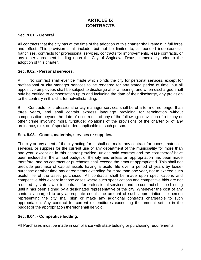## **ARTICLE IX CONTRACTS**

#### **Sec. 9.01. - General.**

All contracts that the city has at the time of the adoption of this charter shall remain in full force and effect. This provision shall include, but not be limited to, all bonded indebtedness, franchises, contracts for professional services, contracts for improvements, lease contracts, or any other agreement binding upon the City of Saginaw, Texas, immediately prior to the adoption of this charter.

#### **Sec. 9.02. - Personal services.**

A. No contract shall ever be made which binds the city for personal services, except for professional or city manager services to be rendered for any stated period of time, but all appointive employees shall be subject to discharge after a hearing, and when discharged shall only be entitled to compensation up to and including the date of their discharge, any provision to the contrary in this charter notwithstanding.

B. Contracts for professional or city manager services shall be of a term of no longer than three years, and shall contain express language providing for termination without compensation beyond the date of occurrence of any of the following: conviction of a felony or other crime involving moral turpitude; violations of the provisions of the charter or of any ordinance, rule, or of special orders applicable to such person.

#### **Sec. 9.03. - Goods, materials, services or supplies.**

The city or any agent of the city acting for it, shall not make any contract for goods, materials, services, or supplies for the current use of any department of the municipality for more than one year, except as in this charter provided, unless said contract and the cost thereof have been included in the annual budget of the city and unless an appropriation has been made therefore, and no contracts or purchases shall exceed the amount appropriated. This shall not preclude purchase of capital assets having a useful life over a period of years by leasepurchase or other time pay agreements extending for more than one year, not to exceed such useful life of the asset purchased. All contracts shall be made upon specifications and competitive bids except in those cases where such specifications and competitive bids are not required by state law or in contracts for professional services, and no contract shall be binding until it has been signed by a designated representative of the city. Whenever the cost of any contracts charged to any appropriate equals the amount of such appropriation, no person representing the city shall sign or make any additional contracts chargeable to such appropriation. Any contract for current expenditures exceeding the amount set up in the budget or the appropriation therefor shall be void.

#### **Sec. 9.04. - Competitive bidding.**

All Purchases must be made in compliance with state bidding or purchasing requirements.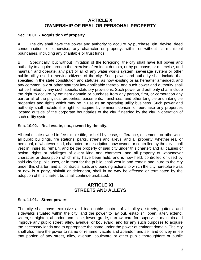## **ARTICLE X OWNERSHIP OF REAL OR PERSONAL PROPERTY**

#### **Sec. 10.01. - Acquisition of property.**

A. The city shall have the power and authority to acquire by purchase, gift, devise, deed condemnation, or otherwise, any character or property, within or without its municipal boundaries, including any charitable or trust funds.

B. Specifically, but without limitation of the foregoing, the city shall have full power and authority to acquire through the exercise of eminent domain, or by purchase, or otherwise, and maintain and operate, any part or all of any water works system, sewerage system or other public utility used in serving citizens of the city. Such power and authority shall include that specified in the state constitution and statutes, as now existing or as hereafter amended, and any common law or other statutory law applicable thereto, and such power and authority shall not be limited by any such specific statutory provisions. Such power and authority shall include the right to acquire by eminent domain or purchase from any person, firm, or corporation any part or all of the physical properties, easements, franchises, and other tangible and intangible properties and rights which may be in use as an operating utility business. Such power and authority shall include the right to acquire by eminent domain or purchase any properties located outside of the corporate boundaries of the city if needed by the city in operation of such utility system.

#### **Sec. 10.02. - Real estate, etc., owned by the city.**

All real estate owned in fee simple title, or held by lease, sufferance, easement, or otherwise; all public buildings, fire stations, parks, streets and alleys, and all property, whether real or personal, of whatever kind, character, or description, now owned or controlled by the city, shall vest in, inure to, remain, and be the property of said city under this charter; and all causes of action, rights or privileges of every kind and character, and all property of whatsoever character or description which may have been held, and is now held, controlled or used by said city for public uses, or in trust for the public, shall vest in and remain and inure to the city under this charter, and all contracts, suits and pending actions to which the city heretofore was or now is a party, plaintiff or defendant, shall in no way be affected or terminated by the adoption of this charter, but shall continue unabated.

## **ARTICLE XI STREETS AND ALLEYS**

#### **Sec. 11.01. - Street powers.**

The city shall have exclusive and inalienable control of all alleys, streets, gutters, and sidewalks situated within the city, and the power to lay out, establish, open, alter, extend, widen, straighten, abandon and close, lower, grade, narrow, care for, supervise, maintain and improve any public street, alley, avenue, or boulevard, and for any such purposes to acquire the necessary lands and to appropriate the same under the power of eminent domain. The city shall also have the power to name or rename, vacate and abandon and sell and convey in fee that portion of any street, alley, avenue, boulevard or other public thoroughfare or public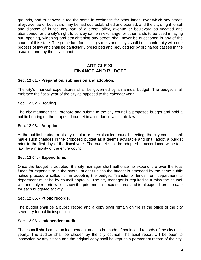grounds, and to convey in fee the same in exchange for other lands, over which any street, alley, avenue or boulevard may be laid out, established and opened; and the city's right to sell and dispose of in fee any part of a street, alley, avenue or boulevard so vacated and abandoned, or the city's right to convey same in exchange for other lands to be used in laying out, opening, widening and straightening any street, shall never be questioned in any of the courts of this state. The procedure for closing streets and alleys shall be in conformity with due process of law and shall be particularly prescribed and provided for by ordinance passed in the usual manner by the city council.

## **ARTICI F XII FINANCE AND BUDGET**

#### **Sec. 12.01. - Preparation, submission and adoption.**

The city's financial expenditures shall be governed by an annual budget. The budget shall embrace the fiscal year of the city as opposed to the calendar year.

#### **Sec. 12.02. - Hearing.**

The city manager shall prepare and submit to the city council a proposed budget and hold a public hearing on the proposed budget in accordance with state law.

#### **Sec. 12.03. - Adoption.**

At the public hearing or at any regular or special called council meeting, the city council shall make such changes in the proposed budget as it deems advisable and shall adopt a budget prior to the first day of the fiscal year. The budget shall be adopted in accordance with state law, by a majority of the entire council.

#### **Sec. 12.04. - Expenditures.**

Once the budget is adopted, the city manager shall authorize no expenditure over the total funds for expenditure in the overall budget unless the budget is amended by the same public notice procedure called for in adopting the budget. Transfer of funds from department to department must be by council approval. The city manager is required to furnish the council with monthly reports which show the prior month's expenditures and total expenditures to date for each budgeted activity.

#### **Sec. 12.05. - Public records.**

The budget shall be a public record and a copy shall remain on file in the office of the city secretary for public inspection.

#### **Sec. 12.06. - Independent audit.**

The council shall cause an independent audit to be made of books and records of the city once yearly. The auditor shall be chosen by the city council. The audit report will be open to inspection by any citizen and the original copy shall be kept as a permanent record of the city.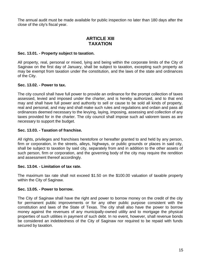The annual audit must be made available for public inspection no later than 180 days after the close of the city's fiscal year.

## **ARTICLE XIII TAXATION**

#### **Sec. 13.01. - Property subject to taxation.**

All property, real, personal or mixed, lying and being within the corporate limits of the City of Saginaw on the first day of January, shall be subject to taxation, excepting such property as may be exempt from taxation under the constitution, and the laws of the state and ordinances of the City.

#### **Sec. 13.02. - Power to tax.**

The city council shall have full power to provide an ordinance for the prompt collection of taxes assessed, levied and imposed under the charter, and is hereby authorized, and to that end may and shall have full power and authority to sell or cause to be sold all kinds of property, real and personal, and may and shall make such rules and regulations and ordain and pass all ordinances deemed necessary to the levying, laying, imposing, assessing and collection of any taxes provided for in the charter. The city council shall impose such ad valorem taxes as are necessary to support the budget.

#### **Sec. 13.03. - Taxation of franchise.**

All rights, privileges and franchises heretofore or hereafter granted to and held by any person, firm or corporation, in the streets, alleys, highways, or public grounds or places in said city, shall be subject to taxation by said city, separately from and in addition to the other assets of such person, firm or corporation, and the governing body of the city may require the rendition and assessment thereof accordingly.

#### **Sec. 13.04. - Limitation of tax rate.**

The maximum tax rate shall not exceed \$1.50 on the \$100.00 valuation of taxable property within the City of Saginaw.

#### **Sec. 13.05. - Power to borrow.**

The City of Saginaw shall have the right and power to borrow money on the credit of the city for permanent public improvements or for any other public purpose consistent with the constitution and laws of the State of Texas. The city shall also have the power to borrow money against the revenues of any municipally-owned utility and to mortgage the physical properties of such utilities in payment of such debt. In no event, however, shall revenue bonds be considered an indebtedness of the City of Saginaw nor required to be repaid with funds secured by taxation.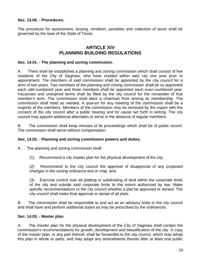**Sec. 13.06. - Procedures.** 

The procedure for assessment, levying, rendition, penalties and collection of taxes shall be governed by the laws of the State of Texas.

## **ARTICLE XIV PLANNING BUILDING REGULATIONS**

#### **Sec. 14.01. - The planning and zoning commission.**

A. There shall be established a planning and zoning commission which shall consist of five residents of the City of Saginaw, who have resided within said city one year prior to appointment. The members of said commission shall be appointed by the city council for a term of two years. Two members of the planning and zoning commission shall be so appointed each odd-numbered year and three members shall be appointed each even-numbered year. Vacancies and unexpired terms shall be filled by the city council for the remainder of that member's term. The commission shall elect a chairman from among its membership. The commission shall meet as needed. A quorum for any meeting of the commission shall be a majority of the members. Members of the commission may be removed by the mayor with the consent of the city council after a public hearing and for cause set forth in writing. The city council may appoint additional alternates to serve in the absence of regular members.

B. The commission shall keep minutes of its proceedings which shall be of public record. The commission shall serve without compensation.

#### **Sec. 14.02. - Planning and zoning commission powers and duties.**

A. The planning and zoning commission shall:

(1) Recommend a city master plan for the physical development of the city.

(2) Recommend to the city council the approval of disapproval of any proposed changes in the zoning ordinance text or map; and

(3) Exercise control over all platting or subdividing of land within the corporate limits of the city and outside said corporate limits to the extent authorized by law. Make specific recommendations to the city council whether a plat be approved or denied. The city council shall make final approval or denial of all plats.

B. The commission shall be responsible to and act as an advisory body to the city council and shall have and perform additional duties as may be prescribed by the ordinances.

#### **Sec. 14.03. - Master plan.**

A. The master plan for the physical development of the City of Saginaw shall contain the commission's recommendations for growth, development and beautification of the city. A copy of the master plan, or any part thereof, shall be forwarded to the city council, which may adopt this plan in whole or parts, and may adopt any amendments thereto after at least one public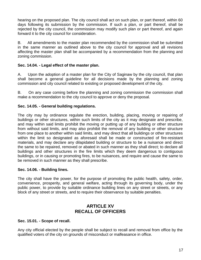hearing on the proposed plan. The city council shall act on such plan, or part thereof, within 60 days following its submission by the commission. If such a plan, or part thereof, shall be rejected by the city council, the commission may modify such plan or part thereof, and again forward it to the city council for consideration.

B. All amendments to the master plan recommended by the commission shall be submitted in the same manner as outlined above to the city council for approval and all revisions affecting the master plan shall be accompanied by a recommendation from the planning and zoning commission.

#### **Sec. 14.04. - Legal effect of the master plan.**

A. Upon the adoption of a master plan for the City of Saginaw by the city council, that plan shall become a general guideline for all decisions made by the planning and zoning commission and city council related to existing or proposed development of the city.

B. On any case coming before the planning and zoning commission the commission shall make a recommendation to the city council to approve or deny the proposal.

#### **Sec. 14.05. - General building regulations.**

The city may by ordinance regulate the erection, building, placing, moving or repairing of buildings or other structures, within such limits of the city as it may designate and prescribe, and may within said limits prohibit the moving or putting up of any building or other structure from without said limits, and may also prohibit the removal of any building or other structure from one place to another within said limits, and may direct that all buildings or other structures within the limit so designated as aforesaid shall be made or constructed of fire-resistant materials, and may declare any dilapidated building or structure to be a nuisance and direct the same to be repaired, removed or abated in such manner as they shall direct; to declare all buildings and other structures in the fire limits which they deem dangerous to contiguous buildings, or in causing or promoting fires, to be nuisances, and require and cause the same to be removed in such manner as they shall prescribe.

#### **Sec. 14.06. - Building lines.**

The city shall have the power, for the purpose of promoting the public health, safety, order, convenience, prosperity, and general welfare, acting through its governing body, under the public power, to provide by suitable ordinance building lines on any street or streets, or any block of any street or streets, and to require their observance by suitable penalties.

### **ARTICLE XV RECALL OF OFFICERS**

#### **Sec. 15.01. - Scope of recall.**

Any city official elected by the people shall be subject to recall and removal from office by the qualified voters of the city on grounds of misconduct or malfeasance in office.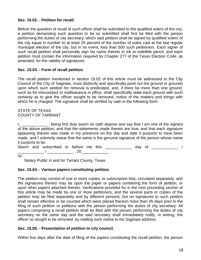#### **Sec. 15.02. - Petition for recall.**

Before the question of recall of such officer shall be submitted to the qualified voters of the city, a petition demanding such question to be so submitted shall first be filed with the person performing the duties of city secretary; which said petition shall be signed by qualified voters of the city equal in number to at least 25 percent of the number of votes cast at the last regular municipal election of the city, but in no event, less than 500 such petitioners. Each signer of such recall petition shall personally sign his name thereto in ink or indelible pencil, and each petition must contain the information required by Chapter 277 of the Texas Election Code, as amended, for the validity of signatures.

#### **Sec. 15.03. - Form of recall petition.**

The recall petition mentioned in section 15.02 of this article must be addressed to the City Council of the City of Saginaw, must distinctly and specifically point out the ground or grounds upon which such petition for removal is predicated, and, if there be more than one ground, such as for misconduct or malfeasance in office, shall specifically state each ground with such certainty as to give the officer sought to be removed, notice of the matters and things with which he is charged. The signature shall be verified by oath in the following form:

#### STATE OF TEXAS COUNTY OF TARRANT

I, \_\_\_\_\_\_\_\_\_\_\_, being first duly sworn on oath depose and say that I am one of the signers of the above petition; and that the statements made therein are true, and that each signature appearing thereto was made in my presence on the day and date it purports to have been made, and I solemnly swear that the same is the genuine signature of the person whose name it purports to be.

Sworn and subscribed to before me this \_\_\_\_\_\_\_\_\_\_\_ day of \_\_\_\_\_\_\_\_\_\_\_ / \_\_\_\_\_\_\_\_\_\_\_\_ / \_\_\_\_\_\_\_\_\_\_\_\_ , 20 \_\_\_\_\_\_\_\_\_\_\_\_ .

/s/

Notary Public in and for Tarrant County, Texas

#### **Sec. 15.04. - Various papers constituting petition.**

The petition may consist of one or more copies, or subscription lists, circulated separately, and the signatures thereto may be upon the paper or papers containing the form of petition, or upon other papers attached thereto. Verifications provided for in the next preceding section of this article may be made by one or more petitioners, and the several parts or copies of the petition may be filed separately and by different persons; but no signatures to such petition shall remain effective or be counted which were placed thereon more than 45 days prior to the filing of such petition or petitions with the person performing the duties of city secretary. All papers comprising a recall petition shall be filed with the person performing the duties of city secretary on the same day and the said secretary shall immediately notify, in writing, the officer so sought to be removed, by mailing such notice to his Saginaw address.

#### **Sec. 15.05. - Presentation of petition to city council.**

Within five days after the date of filing of the papers constituting the recall petition, the person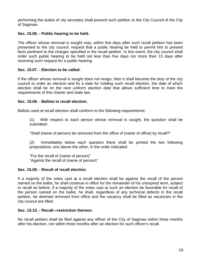performing the duties of city secretary shall present such petition to the City Council of the City of Saginaw.

#### **Sec. 15.06. - Public hearing to be held.**

The officer whose removal is sought may, within five days after such recall petition has been presented to the city council, request that a public hearing be held to permit him to present facts pertinent to the charges specified in the recall petition. In this event, the city council shall order such public hearing to be held not less than five days nor more than 15 days after receiving such request for a public hearing.

#### **Sec. 15.07. - Election to be called.**

If the officer whose removal is sought does not resign, then it shall become the duty of the city council to order an election and fix a date for holding such recall election, the date of which election shall be on the next uniform election date that allows sufficient time to meet the requirements of this charter and state law.

#### **Sec. 15.08. - Ballots in recall election.**

Ballots used at recall election shall conform to the following requirements:

(1) With respect to each person whose removal is sought, the question shall be submitted:

"Shall (name of person) be removed from the office of (name of office) by recall?"

(2) Immediately below each question there shall be printed the two following propositions, one above the other, in the order indicated:

"For the recall of (name of person)" "Against the recall of (name of person)"

#### **Sec. 15.09. - Result of recall election.**

If a majority of the votes cast at a recall election shall be against the recall of the person named on the ballot, he shall continue in office for the remainder of his unexpired term, subject to recall as before. If a majority of the votes cast at such an election be favorable for recall of the person named on the ballot, he shall, regardless of any technical defects in the recall petition, be deemed removed from office and the vacancy shall be filled as vacancies in the city council are filled.

#### **Sec. 15.10. - Recall—restriction thereon.**

No recall petition shall be filed against any officer of the City of Saginaw within three months after his election, nor within three months after an election for such officer's recall.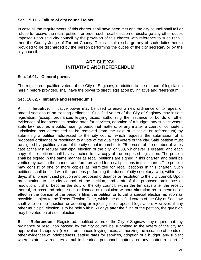#### **Sec. 15.11. - Failure of city council to act.**

In case all the requirements of this charter shall have been met and the city council shall fail or refuse to receive the recall petition, or order such recall election or discharge any other duties imposed upon said city council by the provision of this charter with reference to such recall, then the County Judge of Tarrant County, Texas, shall discharge any of such duties herein provided to be discharged by the person performing the duties of the city secretary or by the city council.

## **ARTICLE XVI INITIATIVE AND REFERENDUM**

#### **Sec. 16.01. - General power.**

The registered, qualified voters of the City of Saginaw, in addition to the method of legislation herein before provided, shall have the power to direct legislation by initiative and referendum.

#### **Sec. 16.02. - [Initiative and referendum.]**

**A. Initiative.** Initiative power may be used to enact a new ordinance or to repeal or amend sections of an existing ordinance. Qualified voters of the City of Saginaw may initiate legislation, (except ordinances levying taxes, authorizing the issuance of bonds or other evidences of indebtedness, setting rates for services, adoption of a budget, any subject where state law requires a public hearing, personnel matters, or any matter a court of competent jurisdiction has determined to be removed from the field of initiative or referendum) by submitting a petition addressed to the city council which requests the submission of a proposed ordinance or resolution to a vote of the qualified voters of the city. Said petition must be signed by qualified voters of the city equal in number to 25 percent of the number of votes cast at the last regular municipal election of the city, or 500, whichever is greater, and each copy of the petition shall have attached to it a copy of the proposed legislation. The petition shall be signed in the same manner as recall petitions are signed in this charter, and shall be verified by oath in the manner and form provided for recall petitions in this charter. The petition may consist of one or more copies as permitted for recall petitions in this charter. Such petitions shall be filed with the persons performing the duties of city secretary, who, within five days, shall present said petition and proposed ordinance or resolution to the city council. Upon presentation, to the city council of the petition, and draft of the proposed ordinance or resolution, it shall become the duty of the city council, within the ten days after the receipt thereof, to pass and adopt such ordinance or resolution without alteration as to meaning or effect in the opinion of the persons filing the petition or to call a special election as soon as possible, subject to the Texas Election Code, which the qualified voters of the City of Saginaw shall vote on the question or adopting or rejecting the proposed legislation. However, if any other municipal election is to be held within 60 days after the filing of the petition, the question may be voted on at such election.

**B. Referendum.** Registered, qualified voters of the City of Saginaw may require that any ordinance or resolution passed by the city council be submitted to the voters of the city for approval or disapproval (except ordinances levying taxes, authorizing the issuance of bonds or other evidences of indebtedness, setting rates for services, adoption of a budget, any subject where state law requires a public hearing, personnel matters, or any matter a court of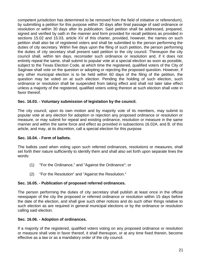competent jurisdiction has determined to be removed from the field of initiative or referendum), by submitting a petition for this purpose within 30 days after final passage of said ordinance or resolution or within 30 days after its publication. Said petition shall be addressed, prepared, signed and verified by oath in the manner and form provided for recall petitions as provided in sections 15.02 and 15.03, article XV of this charter, provided, however, the names on such petition shall also be of registered voters and shall be submitted to the person performing the duties of city secretary. Within five days upon the filing of such petition, the person performing the duties of city secretary shall present said petition to the city council. Thereupon the city council shall, within ten days, reconsider such ordinance or resolution and, if it does not entirely repeal the same, shall submit to popular vote at a special election as soon as possible, subject to the Texas Election Code, at which time the registered, qualified voters of the City of Saginaw shall vote on the question or adopting or rejecting the proposed question. However, if any other municipal election is to be held within 60 days of the filing of the petition, the question may be voted on at such election. Pending the holding of such election, such ordinance or resolution shall be suspended from taking effect and shall not later take effect unless a majority of the registered, qualified voters voting thereon at such election shall vote in favor thereof.

#### **Sec. 16.03. - Voluntary submission of legislation by the council.**

The city council, upon its own motion and by majority vote of its members, may submit to popular vote at any election for adoption or rejection any proposed ordinance or resolution or measure, or may submit for repeal and existing ordinance, resolution or measure in the same manner and within the same force and effect as provided in subsections 16.02A. and B. of this article, and may, at its discretion, call a special election for this purpose.

#### **Sec. 16.04. - Form of ballots.**

The ballots used when voting upon such referred ordinances, resolutions or measures, shall set forth their nature sufficiently to identify them and shall also set forth upon separate lines the words:

- (1) "For the Ordinance," and "Against the Ordinance"; or
- (2) "For the Resolution" and "Against the Resolution."

#### **Sec. 16.05. - Publication of proposed referred ordinances.**

The person performing the duties of city secretary shall publish at least once in the official newspaper of the city the proposed or referred ordinance or resolution within 15 days before the date of the election, and shall give such other notices and do such other things relative to such election as are required in general municipal elections or by the ordinance or resolution calling said election.

#### **Sec. 16.06. - Adoption of ordinances.**

If a majority of the registered, qualified voters voting on any proposed ordinance or resolution or measure shall vote in favor thereof, it shall thereupon, or at any time fixed therein, become effective as a law or as a mandatory order of the city council.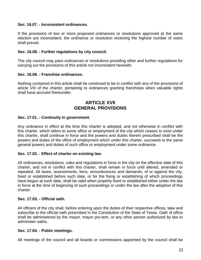#### **Sec. 16.07. - Inconsistent ordinances.**

If the provisions of two or more proposed ordinances or resolutions approved at the same election are inconsistent, the ordinance or resolution receiving the highest number of votes shall prevail.

#### **Sec. 16.08. - Further regulations by city council.**

The city council may pass ordinances or resolutions providing other and further regulations for carrying out the provisions of this article not inconsistent herewith.

#### **Sec. 16.09. - Franchise ordinances.**

Nothing contained in this article shall be construed to be in conflict with any of the provisions of article VIII of the charter, pertaining to ordinances granting franchises when valuable rights shall have accrued thereunder.

## **ARTICLE XVII GENERAL PROVISIONS**

#### **Sec. 17.01. - Continuity in government.**

Any ordinance in effect at the time this charter is adopted, and not otherwise in conflict with this charter, which refers to some office or employment of the city which ceases to exist under this charter, shall continue in force and the powers and duties therein prescribed shall be the powers and duties of the office of employment which under this charter, succeeds to the same general powers and duties of such office or employment under some ordinance.

#### **Sec. 17.02. - Effect of charter on existing law.**

All ordinances, resolutions, rules and regulations in force in the city on the effective date of this charter, and not in conflict with this charter, shall remain in force until altered, amended or repealed. All taxes, assessments, liens, encumbrances and demands, of or against the city, fixed or established before such date, or for the fixing or establishing of which proceedings have begun at such date, shall be valid when properly fixed or established either under the law in force at the time of beginning of such proceedings or under the law after the adoption of this charter.

#### **Sec. 17.03. - Official oath.**

All officers of the city shall, before entering upon the duties of their respective offices, take and subscribe to the official oath prescribed in the Constitution of the State of Texas. Oath of office shall be administered by the mayor, mayor pro-tem, or any other person authorized by law to administer oaths.

#### **Sec. 17.04. - Public meetings.**

All meetings of the council and all boards or commissions appointed by the council shall be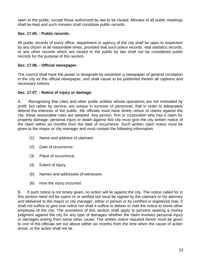open to the public, except those authorized by law to be closed. Minutes of all public meetings shall be kept and such minutes shall constitute public records.

#### **Sec. 17.05. - Public records.**

All public records of every office, department or agency of the city shall be open to inspection by any citizen at all reasonable times, provided that such police records, vital statistics records, or any other records which are closed to the public by law shall not be considered public records for the purpose of this section.

#### **Sec. 17.06. - Official newspaper.**

The council shall have the power to designate by resolution a newspaper of general circulation in the city as the official newspaper, and shall cause to be published therein all captions and necessary notices.

#### **Sec. 17.07. - Notice of injury or damage.**

A. Recognizing that cities and other public entities whose operations are not motivated by profit, but rather by service, are unique in turnover of personnel, that in order to adequately defend the interests of the public, the officials must have timely notice of claims against the city, these reasonable rules are adopted. Any person, firm or corporation who has a claim for property damage, personal injury or death against this city must give the city written notice of the claim within six months from the date of occurrence. Such written claim notice must be given to the mayor or city manager and must contain the following information:

- (1) Name and address of claimant.
- (2) Date of occurrence.
- (3) Place of occurrence.
- (4) Extent of injury.
- (5) Names and addresses of witnesses.
- (6) How the injury occurred.

B. If such notice is not timely given, no action will lie against the city. The notice called for in this section need not be sworn to or verified but must be signed by the claimant or his attorney and delivered to the mayor or city manager, either in person or by certified or registered mail. It shall not suffice to give oral notice nor shall it suffice to deliver or mail the notice to some other employee of the city. The provisions of this section shall apply to persons seeking a money judgment against the city for any type of damages whether the claim involves personal injury or damages arising from some other cause. The written notice required herein must be given to one of the officials set out above within six months from the time when the cause of action arose, or the action shall not lie.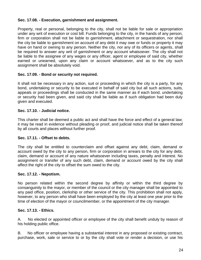#### **Sec. 17.08. - Execution, garnishment and assignment.**

Property, real or personal, belonging to the city, shall not be liable for sale or appropriation under any writ of execution or cost bill. Funds belonging to the city, in the hands of any person, firm or corporation shall not be liable to garnishment, attachment or sequestration, nor shall the city be liable to garnishment on account of any debt it may owe or funds or property it may have on hand or owning to any person. Neither the city, nor any of its officers or agents, shall be required to answer any writ of garnishment or any account whatsoever. The city shall not be liable to the assignee of any wages or any officer, agent or employee of said city, whether earned or unearned, upon any claim or account whatsoever, and as to the city such assignment shall be absolutely void.

#### **Sec. 17.09. - Bond or security not required.**

It shall not be necessary in any action, suit or proceeding in which the city is a party, for any bond, undertaking or security to be executed in behalf of said city but all such actions, suits, appeals or proceedings shall be conducted in the same manner as if each bond, undertaking or security had been given, and said city shall be liable as if such obligation had been duly given and executed.

#### **Sec. 17.10. - Judicial notice.**

This charter shall be deemed a public act and shall have the force and effect of a general law; it may be read in evidence without pleading or proof, and judicial notice shall be taken thereof by all courts and places without further proof.

#### **Sec. 17.11. - Offset to debts.**

The city shall be entitled to counterclaim and offset against any debt, claim, demand or account owed by the city to any person, firm or corporation in arrears to the city for any debt, claim, demand or account of any nature whatsoever including taxes, penalty and interest. No assignment or transfer of any such debt, claim, demand or account owed by the city shall affect the right of the city to offset the sum owed to the city.

#### **Sec. 17.12. - Nepotism.**

No person related within the second degree by affinity or within the third degree by consanguinity to the mayor, or member of the council or the city manager shall be appointed to any paid office, position, clerkship or other service of the city. This prohibition shall not apply, however, to any person who shall have been employed by the city at least one year prior to the time of election of the mayor or councilmember, or the appointment of the city manager.

#### **Sec. 17.13. - Ethics.**

A. No elected or appointed officer or employee of the city shall benefit unduly by reason of his holding public office.

B. No officer or employee having a substantial interest in any proposed or existing contract, purchase, work, sale or service to or by the city shall vote or render a decision, or use his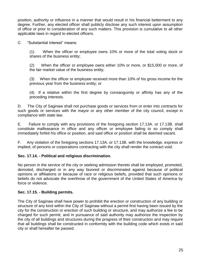position, authority or influence in a manner that would result in his financial betterment to any degree. Further, any elected officer shall publicly disclose any such interest upon assumption of office or prior to consideration of any such matters. This provision is cumulative to all other applicable laws in regard to elected officers.

C. "Substantial interest" means:

(1) When the officer or employee owns 10% or more of the total voting stock or shares of the business entity;

(2) When the officer or employee owns either 10% or more, or \$15,000 or more, of the fair market value of the business entity;

(3) When the officer or employee received more than 10% of his gross income for the previous year from the business entity; or

(4) If a relative within the first degree by consanguinity or affinity has any of the preceding interests.

D. The City of Saginaw shall not purchase goods or services from or enter into contracts for such goods or services with the mayor or any other member of the city council, except in compliance with state law.

E. Failure to comply with any provisions of the foregoing section 17.13A. or 17.13B. shall constitute malfeasance in office and any officer or employee failing to so comply shall immediately forfeit his office or position, and said office or position shall be deemed vacant.

F. Any violation of the foregoing sections 17.13A. or 17.13B. with the knowledge, express or implied, of persons or corporations contracting with the city shall render the contract void.

#### **Sec. 17.14. - Political and religious discrimination.**

No person in the service of the city or seeking admission thereto shall be employed, promoted, demoted, discharged or in any way favored or discriminated against because of political opinions or affiliations or because of race or religious beliefs, provided that such opinions or beliefs do not advocate the overthrow of the government of the United States of America by force or violence.

#### **Sec. 17.15. - Building permits.**

The City of Saginaw shall have power to prohibit the erection or construction of any building or structure of any kind within the City of Saginaw without a permit first having been issued by the city for the construction or erection of such building or structure, and may authorize a fee to be charged for such permit, and in pursuance of said authority may authorize the inspection by the city of all buildings and structures during the progress of their construction and may require that all buildings shall be constructed in conformity with the building code which exists in said city or shall hereafter be passed.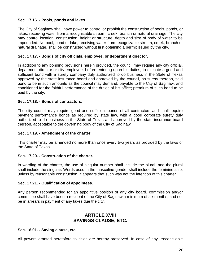#### **Sec. 17.16. - Pools, ponds and lakes.**

The City of Saginaw shall have power to control or prohibit the construction of pools, ponds, or lakes, receiving water from a recognizable stream, creek, branch or natural drainage. The city may control location, construction, height or structure, depth and size of body of water to be impounded. No pool, pond or lake, receiving water from recognizable stream, creek, branch or natural drainage, shall be constructed without first obtaining a permit issued by the city.

#### **Sec. 17.17. - Bonds of city officials, employee, or department director.**

In addition to any bonding provisions herein provided, the council may require any city official, department director or city employee, before entering upon his duties, to execute a good and sufficient bond with a surety company duly authorized to do business in the State of Texas approved by the state insurance board and approved by the council, as surety thereon, said bond to be in such amounts as the council may demand, payable to the City of Saginaw, and conditioned for the faithful performance of the duties of his office; premium of such bond to be paid by the city.

#### **Sec. 17.18. - Bonds of contractors.**

The city council may require good and sufficient bonds of all contractors and shall require payment performance bonds as required by state law, with a good corporate surety duly authorized to do business in the State of Texas and approved by the state insurance board thereon, acceptable to the governing body of the City of Saginaw.

#### **Sec. 17.19. - Amendment of the charter.**

This charter may be amended no more than once every two years as provided by the laws of the State of Texas.

#### **Sec. 17.20. - Construction of the charter.**

In wording of the charter, the use of singular number shall include the plural, and the plural shall include the singular. Words used in the masculine gender shall include the feminine also, unless by reasonable construction, it appears that such was not the intention of this charter.

#### **Sec. 17.21. - Qualification of appointees.**

Any person recommended for an appointive position or any city board, commission and/or committee shall have been a resident of the City of Saginaw a minimum of six months, and not be in arrears in payment of any taxes due the city.

## **ARTICLE XVIII SAVINGS CLAUSE, ETC.**

#### **Sec. 18.01. - Saving clause, etc.**

All powers granted heretofore to cities are hereby preserved. In case of any irreconcilable